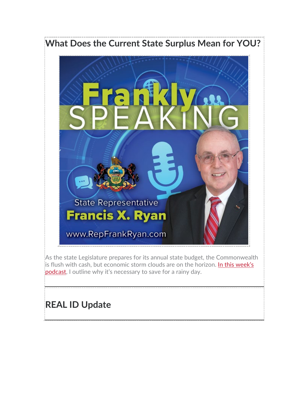# **What Does the Current State Surplus Mean for YOU?**



As the state Legislature prepares for its annual state budget, the Commonwealth is flush with cash, but economic storm clouds are on the horizon. In this week's [podcast,](https://www.repfrankryan.com/Audio/LatestAudio) I outline why it's necessary to save for a rainy day.

## **REAL ID Update**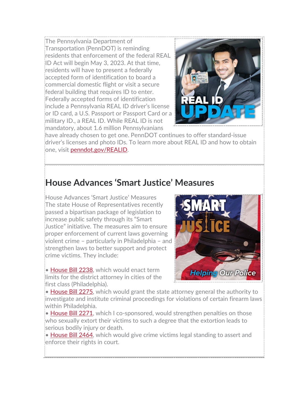The Pennsylvania Department of Transportation (PennDOT) is reminding residents that enforcement of the federal REAL ID Act will begin May 3, 2023. At that time, residents will have to present a federally accepted form of identification to board a commercial domestic flight or visit a secure federal building that requires ID to enter. Federally accepted forms of identification include a Pennsylvania REAL ID driver's license or ID card, a U.S. Passport or Passport Card or a military ID., a REAL ID. While REAL ID is not mandatory, about 1.6 million Pennsylvanians



have already chosen to get one. PennDOT continues to offer standard-issue driver's licenses and photo IDs. To learn more about REAL ID and how to obtain one, visit [penndot.gov/REALID.](https://www.dmv.pa.gov/realid/pages/default.aspx)

#### **House Advances 'Smart Justice' Measures**

House Advances 'Smart Justice' Measures The state House of Representatives recently passed a bipartisan package of legislation to increase public safety through its "Smart Justice" initiative. The measures aim to ensure proper enforcement of current laws governing violent crime – particularly in Philadelphia – and strengthen laws to better support and protect crime victims. They include:

• [House Bill 2238,](https://www.legis.state.pa.us/cfdocs/billInfo/billInfo.cfm?sYear=2021&sInd=0&body=H&type=B&bn=2238) which would enact term limits for the district attorney in cities of the first class (Philadelphia).



• [House Bill 2275,](https://www.legis.state.pa.us/cfdocs/billInfo/billInfo.cfm?sYear=2021&sInd=0&body=H&type=B&bn=2238) which would grant the state attorney general the authority to investigate and institute criminal proceedings for violations of certain firearm laws within Philadelphia.

• [House Bill 2271,](https://www.legis.state.pa.us/cfdocs/billInfo/billInfo.cfm?sYear=2021&sInd=0&body=H&type=B&bn=2271) which I co-sponsored, would strengthen penalties on those who sexually extort their victims to such a degree that the extortion leads to serious bodily injury or death.

• [House Bill 2464,](https://www.legis.state.pa.us/cfdocs/billInfo/billInfo.cfm?sYear=2021&sInd=0&body=H&type=B&bn=2464) which would give crime victims legal standing to assert and enforce their rights in court.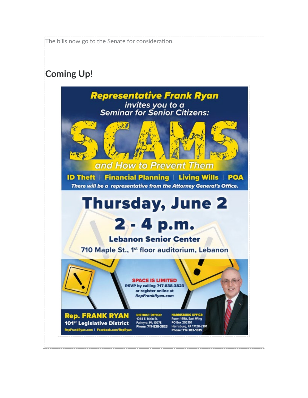The bills now go to the Senate for consideration.

## **Coming Up!**

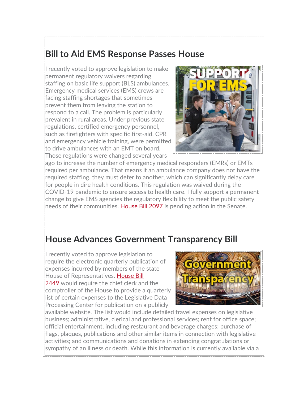### **Bill to Aid EMS Response Passes House**

I recently voted to approve legislation to make permanent regulatory waivers regarding staffing on basic life support (BLS) ambulances. Emergency medical services (EMS) crews are facing staffing shortages that sometimes prevent them from leaving the station to respond to a call. The problem is particularly prevalent in rural areas. Under previous state regulations, certified emergency personnel, such as firefighters with specific first-aid, CPR and emergency vehicle training, were permitted to drive ambulances with an EMT on board. Those regulations were changed several years



ago to increase the number of emergency medical responders (EMRs) or EMTs required per ambulance. That means if an ambulance company does not have the required staffing, they must defer to another, which can significantly delay care for people in dire health conditions. This regulation was waived during the COVID-19 pandemic to ensure access to health care. I fully support a permanent change to give EMS agencies the regulatory flexibility to meet the public safety needs of their communities. [House Bill 2097](https://www.legis.state.pa.us/cfdocs/billInfo/billInfo.cfm?sYear=2021&sInd=0&body=H&type=B&bn=2097) is pending action in the Senate.

#### **House Advances Government Transparency Bill**

I recently voted to approve legislation to require the electronic quarterly publication of expenses incurred by members of the state House of Representatives. [House Bill](https://www.legis.state.pa.us/cfdocs/billInfo/billInfo.cfm?sYear=2021&sInd=0&body=H&type=B&bn=2449)  [2449](https://www.legis.state.pa.us/cfdocs/billInfo/billInfo.cfm?sYear=2021&sInd=0&body=H&type=B&bn=2449) would require the chief clerk and the comptroller of the House to provide a quarterly list of certain expenses to the Legislative Data Processing Center for publication on a publicly



available website. The list would include detailed travel expenses on legislative business; administrative, clerical and professional services; rent for office space; official entertainment, including restaurant and beverage charges; purchase of flags, plaques, publications and other similar items in connection with legislative activities; and communications and donations in extending congratulations or sympathy of an illness or death. While this information is currently available via a